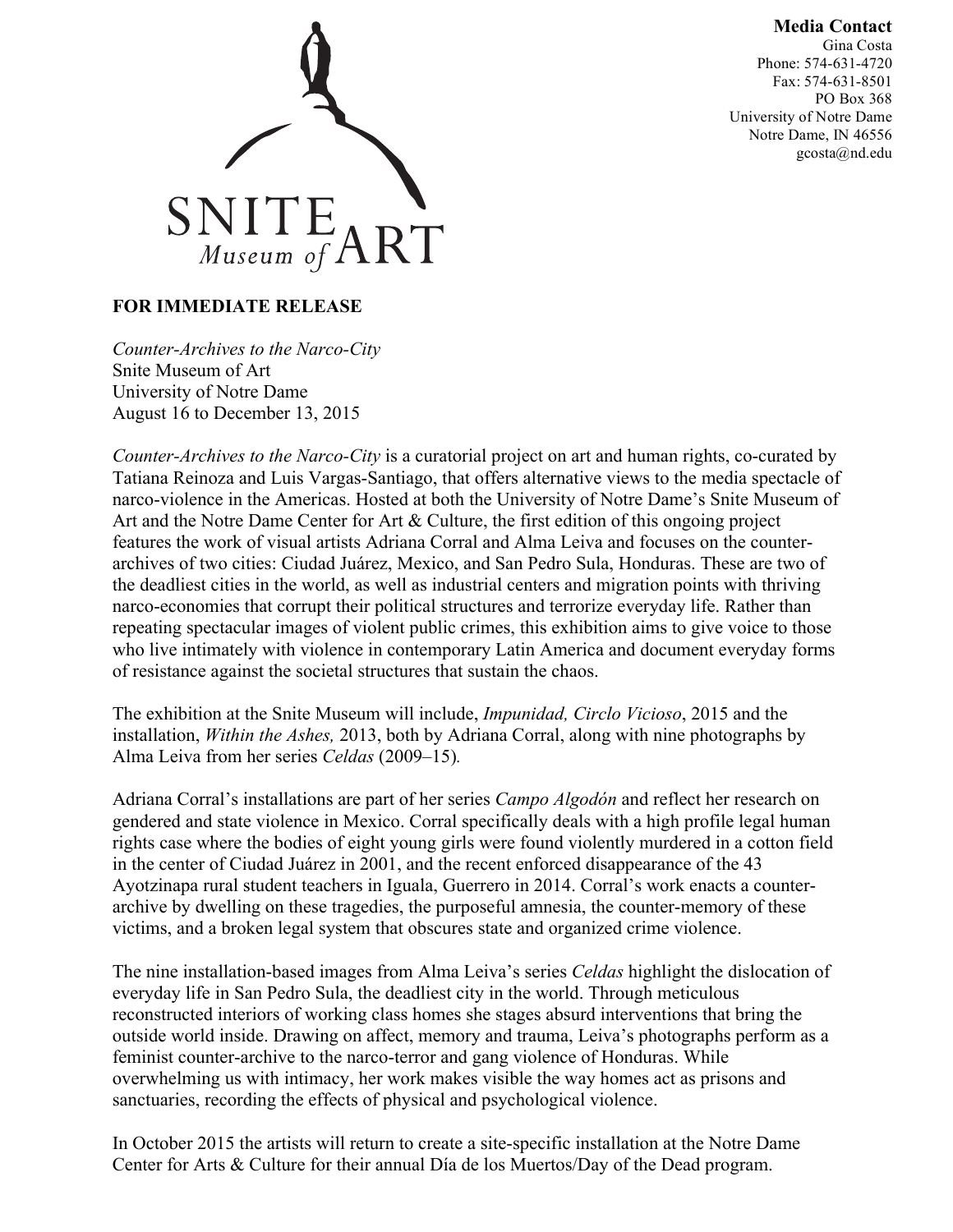## **Media Contact**

Gina Costa Phone: 574-631-4720 Fax: 574-631-8501 PO Box 368 University of Notre Dame Notre Dame, IN 46556 gcosta@nd.edu



## **FOR IMMEDIATE RELEASE**

*Counter-Archives to the Narco-City* Snite Museum of Art University of Notre Dame August 16 to December 13, 2015

*Counter-Archives to the Narco-City* is a curatorial project on art and human rights, co-curated by Tatiana Reinoza and Luis Vargas-Santiago, that offers alternative views to the media spectacle of narco-violence in the Americas. Hosted at both the University of Notre Dame's Snite Museum of Art and the Notre Dame Center for Art & Culture, the first edition of this ongoing project features the work of visual artists Adriana Corral and Alma Leiva and focuses on the counterarchives of two cities: Ciudad Juárez, Mexico, and San Pedro Sula, Honduras. These are two of the deadliest cities in the world, as well as industrial centers and migration points with thriving narco-economies that corrupt their political structures and terrorize everyday life. Rather than repeating spectacular images of violent public crimes, this exhibition aims to give voice to those who live intimately with violence in contemporary Latin America and document everyday forms of resistance against the societal structures that sustain the chaos.

The exhibition at the Snite Museum will include, *Impunidad, Circlo Vicioso*, 2015 and the installation, *Within the Ashes,* 2013, both by Adriana Corral, along with nine photographs by Alma Leiva from her series *Celdas* (2009–15)*.*

Adriana Corral's installations are part of her series *Campo Algodón* and reflect her research on gendered and state violence in Mexico. Corral specifically deals with a high profile legal human rights case where the bodies of eight young girls were found violently murdered in a cotton field in the center of Ciudad Juárez in 2001, and the recent enforced disappearance of the 43 Ayotzinapa rural student teachers in Iguala, Guerrero in 2014. Corral's work enacts a counterarchive by dwelling on these tragedies, the purposeful amnesia, the counter-memory of these victims, and a broken legal system that obscures state and organized crime violence.

The nine installation-based images from Alma Leiva's series *Celdas* highlight the dislocation of everyday life in San Pedro Sula, the deadliest city in the world. Through meticulous reconstructed interiors of working class homes she stages absurd interventions that bring the outside world inside. Drawing on affect, memory and trauma, Leiva's photographs perform as a feminist counter-archive to the narco-terror and gang violence of Honduras. While overwhelming us with intimacy, her work makes visible the way homes act as prisons and sanctuaries, recording the effects of physical and psychological violence.

In October 2015 the artists will return to create a site-specific installation at the Notre Dame Center for Arts & Culture for their annual Día de los Muertos/Day of the Dead program.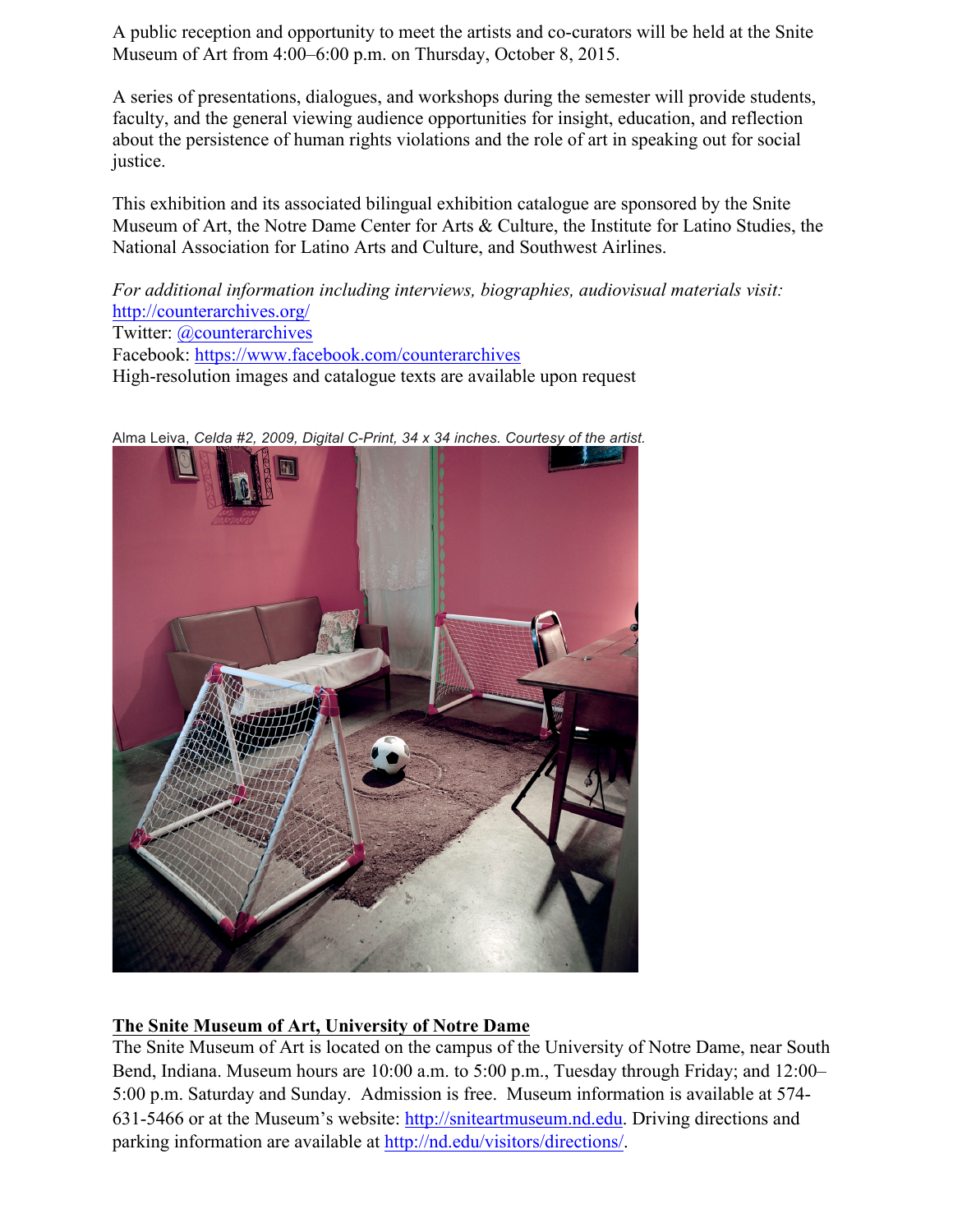A public reception and opportunity to meet the artists and co-curators will be held at the Snite Museum of Art from 4:00–6:00 p.m. on Thursday, October 8, 2015.

A series of presentations, dialogues, and workshops during the semester will provide students, faculty, and the general viewing audience opportunities for insight, education, and reflection about the persistence of human rights violations and the role of art in speaking out for social justice.

This exhibition and its associated bilingual exhibition catalogue are sponsored by the Snite Museum of Art, the Notre Dame Center for Arts & Culture, the Institute for Latino Studies, the National Association for Latino Arts and Culture, and Southwest Airlines.

*For additional information including interviews, biographies, audiovisual materials visit:* http://counterarchives.org/ Twitter: @counterarchives Facebook: https://www.facebook.com/counterarchives High-resolution images and catalogue texts are available upon request



Alma Leiva, *Celda #2, 2009, Digital C-Print, 34 x 34 inches. Courtesy of the artist.*

## **The Snite Museum of Art, University of Notre Dame**

The Snite Museum of Art is located on the campus of the University of Notre Dame, near South Bend, Indiana. Museum hours are 10:00 a.m. to 5:00 p.m., Tuesday through Friday; and 12:00– 5:00 p.m. Saturday and Sunday. Admission is free. Museum information is available at 574- 631-5466 or at the Museum's website: http://sniteartmuseum.nd.edu. Driving directions and parking information are available at http://nd.edu/visitors/directions/.